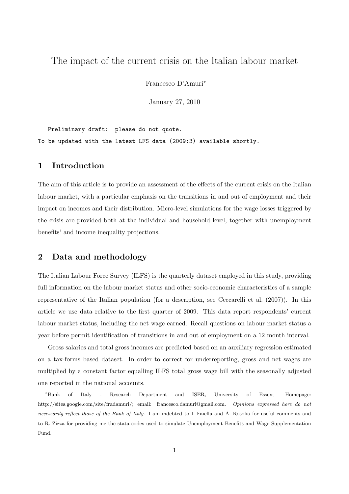# The impact of the current crisis on the Italian labour market

Francesco D'Amuri<sup>∗</sup>

January 27, 2010

Preliminary draft: please do not quote. To be updated with the latest LFS data (2009:3) available shortly.

## 1 Introduction

The aim of this article is to provide an assessment of the effects of the current crisis on the Italian labour market, with a particular emphasis on the transitions in and out of employment and their impact on incomes and their distribution. Micro-level simulations for the wage losses triggered by the crisis are provided both at the individual and household level, together with unemployment benefits' and income inequality projections.

## 2 Data and methodology

The Italian Labour Force Survey (ILFS) is the quarterly dataset employed in this study, providing full information on the labour market status and other socio-economic characteristics of a sample representative of the Italian population (for a description, see Ceccarelli et al. (2007)). In this article we use data relative to the first quarter of 2009. This data report respondents' current labour market status, including the net wage earned. Recall questions on labour market status a year before permit identification of transitions in and out of employment on a 12 month interval.

Gross salaries and total gross incomes are predicted based on an auxiliary regression estimated on a tax-forms based dataset. In order to correct for underreporting, gross and net wages are multiplied by a constant factor equalling ILFS total gross wage bill with the seasonally adjusted one reported in the national accounts.

<sup>∗</sup>Bank of Italy - Research Department and ISER, University of Essex; Homepage: http://sites.google.com/site/fradamuri/; email: francesco.damuri@gmail.com. Opinions expressed here do not necessarily reflect those of the Bank of Italy. I am indebted to I. Faiella and A. Rosolia for useful comments and to R. Zizza for providing me the stata codes used to simulate Unemployment Benefits and Wage Supplementation Fund.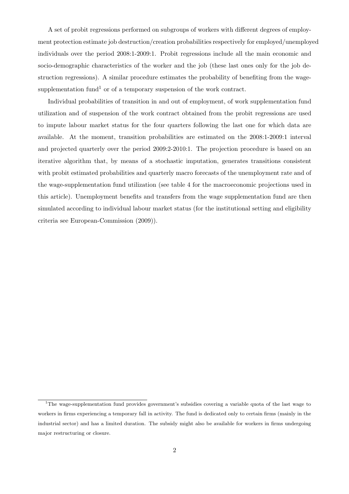A set of probit regressions performed on subgroups of workers with different degrees of employment protection estimate job destruction/creation probabilities respectively for employed/unemployed individuals over the period 2008:1-2009:1. Probit regressions include all the main economic and socio-demographic characteristics of the worker and the job (these last ones only for the job destruction regressions). A similar procedure estimates the probability of benefiting from the wagesupplementation fund<sup>1</sup> or of a temporary suspension of the work contract.

Individual probabilities of transition in and out of employment, of work supplementation fund utilization and of suspension of the work contract obtained from the probit regressions are used to impute labour market status for the four quarters following the last one for which data are available. At the moment, transition probabilities are estimated on the 2008:1-2009:1 interval and projected quarterly over the period 2009:2-2010:1. The projection procedure is based on an iterative algorithm that, by means of a stochastic imputation, generates transitions consistent with probit estimated probabilities and quarterly macro forecasts of the unemployment rate and of the wage-supplementation fund utilization (see table 4 for the macroeconomic projections used in this article). Unemployment benefits and transfers from the wage supplementation fund are then simulated according to individual labour market status (for the institutional setting and eligibility criteria see European-Commission (2009)).

<sup>&</sup>lt;sup>1</sup>The wage-supplementation fund provides government's subsidies covering a variable quota of the last wage to workers in firms experiencing a temporary fall in activity. The fund is dedicated only to certain firms (mainly in the industrial sector) and has a limited duration. The subsidy might also be available for workers in firms undergoing major restructuring or closure.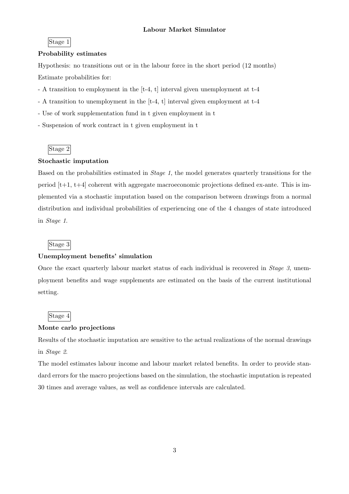#### Stage 1

#### Probability estimates

Hypothesis: no transitions out or in the labour force in the short period (12 months) Estimate probabilities for:

- A transition to employment in the [t-4, t] interval given unemployment at t-4
- A transition to unemployment in the [t-4, t] interval given employment at t-4
- Use of work supplementation fund in t given employment in t
- Suspension of work contract in t given employment in t

### Stage 2

### Stochastic imputation

Based on the probabilities estimated in Stage 1, the model generates quarterly transitions for the period  $[t+1, t+4]$  coherent with aggregate macroeconomic projections defined ex-ante. This is implemented via a stochastic imputation based on the comparison between drawings from a normal distribution and individual probabilities of experiencing one of the 4 changes of state introduced in Stage 1.

### Stage 3

### Unemployment benefits' simulation

Once the exact quarterly labour market status of each individual is recovered in Stage 3, unemployment benefits and wage supplements are estimated on the basis of the current institutional setting.

### Stage 4

### Monte carlo projections

Results of the stochastic imputation are sensitive to the actual realizations of the normal drawings in Stage 2.

The model estimates labour income and labour market related benefits. In order to provide standard errors for the macro projections based on the simulation, the stochastic imputation is repeated 30 times and average values, as well as confidence intervals are calculated.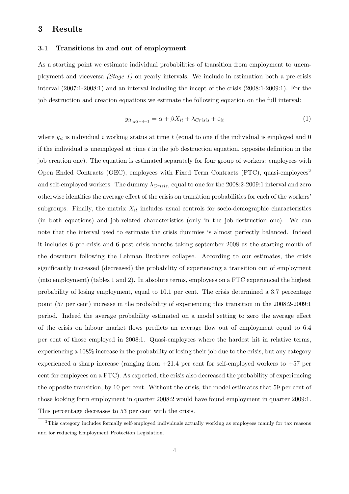## 3 Results

### 3.1 Transitions in and out of employment

As a starting point we estimate individual probabilities of transition from employment to unemployment and viceversa (Stage 1) on yearly intervals. We include in estimation both a pre-crisis interval (2007:1-2008:1) and an interval including the incept of the crisis (2008:1-2009:1). For the job destruction and creation equations we estimate the following equation on the full interval:

$$
y_{it|yit-4=1} = \alpha + \beta X_{it} + \lambda_{Crisis} + \varepsilon_{it}
$$
\n<sup>(1)</sup>

where  $y_{it}$  is individual i working status at time t (equal to one if the individual is employed and 0 if the individual is unemployed at time  $t$  in the job destruction equation, opposite definition in the job creation one). The equation is estimated separately for four group of workers: employees with Open Ended Contracts (OEC), employees with Fixed Term Contracts (FTC), quasi-employees<sup>2</sup> and self-employed workers. The dummy  $\lambda_{Crisis}$ , equal to one for the 2008:2-2009:1 interval and zero otherwise identifies the average effect of the crisis on transition probabilities for each of the workers' subgroups. Finally, the matrix  $X_{it}$  includes usual controls for socio-demographic characteristics (in both equations) and job-related characteristics (only in the job-destruction one). We can note that the interval used to estimate the crisis dummies is almost perfectly balanced. Indeed it includes 6 pre-crisis and 6 post-crisis months taking september 2008 as the starting month of the downturn following the Lehman Brothers collapse. According to our estimates, the crisis significantly increased (decreased) the probability of experiencing a transition out of employment (into employment) (tables 1 and 2). In absolute terms, employees on a FTC experienced the highest probability of losing employment, equal to 10.1 per cent. The crisis determined a 3.7 percentage point (57 per cent) increase in the probability of experiencing this transition in the 2008:2-2009:1 period. Indeed the average probability estimated on a model setting to zero the average effect of the crisis on labour market flows predicts an average flow out of employment equal to 6.4 per cent of those employed in 2008:1. Quasi-employees where the hardest hit in relative terms, experiencing a 108% increase in the probability of losing their job due to the crisis, but any category experienced a sharp increase (ranging from  $+21.4$  per cent for self-employed workers to  $+57$  per cent for employees on a FTC). As expected, the crisis also decreased the probability of experiencing the opposite transition, by 10 per cent. Without the crisis, the model estimates that 59 per cent of those looking form employment in quarter 2008:2 would have found employment in quarter 2009:1. This percentage decreases to 53 per cent with the crisis.

<sup>2</sup>This category includes formally self-employed individuals actually working as employees mainly for tax reasons and for reducing Employment Protection Legislation.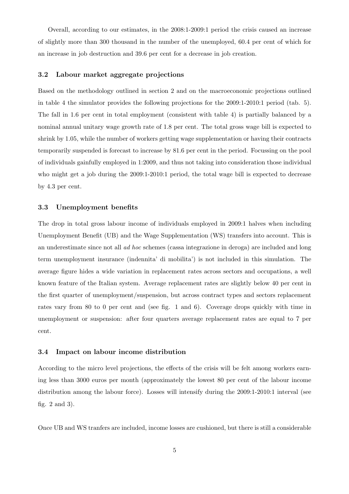Overall, according to our estimates, in the 2008:1-2009:1 period the crisis caused an increase of slightly more than 300 thousand in the number of the unemployed, 60.4 per cent of which for an increase in job destruction and 39.6 per cent for a decrease in job creation.

### 3.2 Labour market aggregate projections

Based on the methodology outlined in section 2 and on the macroeconomic projections outlined in table 4 the simulator provides the following projections for the 2009:1-2010:1 period (tab. 5). The fall in 1.6 per cent in total employment (consistent with table 4) is partially balanced by a nominal annual unitary wage growth rate of 1.8 per cent. The total gross wage bill is expected to shrink by 1.05, while the number of workers getting wage supplementation or having their contracts temporarily suspended is forecast to increase by 81.6 per cent in the period. Focussing on the pool of individuals gainfully employed in 1:2009, and thus not taking into consideration those individual who might get a job during the 2009:1-2010:1 period, the total wage bill is expected to decrease by 4.3 per cent.

#### 3.3 Unemployment benefits

The drop in total gross labour income of individuals employed in 2009:1 halves when including Unemployment Benefit (UB) and the Wage Supplementation (WS) transfers into account. This is an underestimate since not all ad hoc schemes (cassa integrazione in deroga) are included and long term unemployment insurance (indennita' di mobilita') is not included in this simulation. The average figure hides a wide variation in replacement rates across sectors and occupations, a well known feature of the Italian system. Average replacement rates are slightly below 40 per cent in the first quarter of unemployment/suspension, but across contract types and sectors replacement rates vary from 80 to 0 per cent and (see fig. 1 and 6). Coverage drops quickly with time in unemployment or suspension: after four quarters average replacement rates are equal to 7 per cent.

#### 3.4 Impact on labour income distribution

According to the micro level projections, the effects of the crisis will be felt among workers earning less than 3000 euros per month (approximately the lowest 80 per cent of the labour income distribution among the labour force). Losses will intensify during the 2009:1-2010:1 interval (see fig. 2 and 3).

Once UB and WS tranfers are included, income losses are cushioned, but there is still a considerable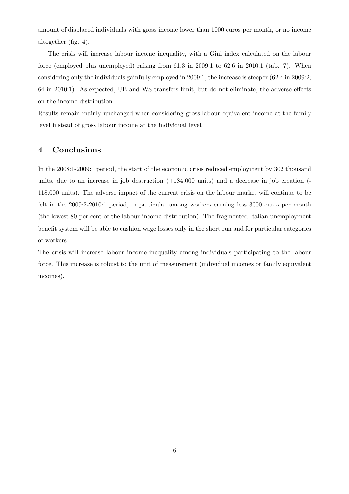amount of displaced individuals with gross income lower than 1000 euros per month, or no income altogether (fig. 4).

The crisis will increase labour income inequality, with a Gini index calculated on the labour force (employed plus unemployed) raising from 61.3 in 2009:1 to 62.6 in 2010:1 (tab. 7). When considering only the individuals gainfully employed in 2009:1, the increase is steeper (62.4 in 2009:2; 64 in 2010:1). As expected, UB and WS transfers limit, but do not eliminate, the adverse effects on the income distribution.

Results remain mainly unchanged when considering gross labour equivalent income at the family level instead of gross labour income at the individual level.

### 4 Conclusions

In the 2008:1-2009:1 period, the start of the economic crisis reduced employment by 302 thousand units, due to an increase in job destruction (+184.000 units) and a decrease in job creation (- 118.000 units). The adverse impact of the current crisis on the labour market will continue to be felt in the 2009:2-2010:1 period, in particular among workers earning less 3000 euros per month (the lowest 80 per cent of the labour income distribution). The fragmented Italian unemployment benefit system will be able to cushion wage losses only in the short run and for particular categories of workers.

The crisis will increase labour income inequality among individuals participating to the labour force. This increase is robust to the unit of measurement (individual incomes or family equivalent incomes).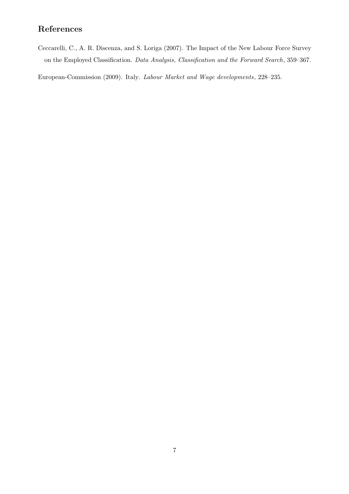# References

Ceccarelli, C., A. R. Discenza, and S. Loriga (2007). The Impact of the New Labour Force Survey on the Employed Classification. Data Analysis, Classification and the Forward Search, 359–367.

European-Commission (2009). Italy. Labour Market and Wage developments, 228–235.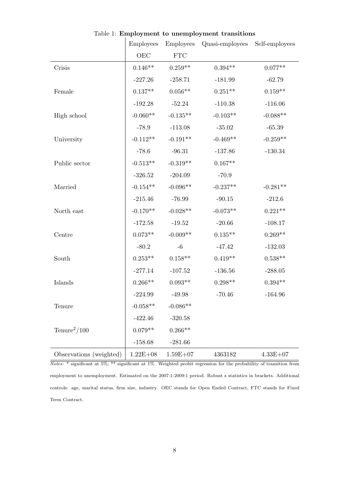|                         | <b>Employees</b> | <b>Employees</b>            | Quasi-employees | Self-employees     |
|-------------------------|------------------|-----------------------------|-----------------|--------------------|
|                         | OEC              | $\ensuremath{\mathsf{FTC}}$ |                 |                    |
| Crisis                  | $0.146**$        | $0.259**$                   | $0.394**$       | $0.077**$          |
|                         | $-227.26$        | $-258.71$                   | $-181.99$       | $-62.79$           |
| Female                  | $0.137**$        | $0.056**$                   | $0.251**$       | $0.159**$          |
|                         | $-192.28$        | $-52.24$                    | $-110.38$       | $-116.06$          |
| High school             | $-0.060**$       | $-0.135**$                  | $-0.103**$      | $-0.088**$         |
|                         | $-78.9$          | $-113.08$                   | $-35.02$        | $-65.39$           |
| University              | $-0.112**$       | $-0.191**$                  | $-0.469**$      | $-0.259**$         |
|                         | $-78.6$          | $-96.31$                    | $-137.86$       | $\textbf{-130.34}$ |
| Public sector           | $-0.513**$       | $-0.319**$                  | $0.167**$       |                    |
|                         | $-326.52$        | $-204.09$                   | $-70.9$         |                    |
| Married                 | $-0.154**$       | $-0.096**$                  | $-0.237**$      | $-0.281**$         |
|                         | $-215.46$        | $-76.99$                    | $-90.15$        | $-212.6$           |
| North east              | $-0.170**$       | $-0.028**$                  | $-0.073**$      | $0.221**$          |
|                         | $-172.58$        | $-19.52$                    | $-20.66$        | $-108.17$          |
| Centre                  | $0.073**$        | $-0.009**$                  | $0.135**$       | $0.269**$          |
|                         | $-80.2$          | $-6\phantom{1}$             | $-47.42$        | $-132.03$          |
| South                   | $0.253**$        | $0.158**$                   | $0.419**$       | $0.538**$          |
|                         | $-277.14$        | $-107.52$                   | $-136.56$       | $-288.05$          |
| Islands                 | $0.266**$        | $0.093**$                   | $0.298**$       | $0.394**$          |
|                         | $-224.99$        | $-49.98$                    | $-70.46$        | $-164.96$          |
| Tenure                  | $-0.058**$       | $-0.086**$                  |                 |                    |
|                         | $-422.46$        | $-320.58$                   |                 |                    |
| $Tenure^2/100$          | $0.079**$        | $0.266**$                   |                 |                    |
|                         | $-158.68$        | $-281.66$                   |                 |                    |
| Observations (weighted) | $1.22E + 08$     | $1.59E + 07$                | 4363182         | $4.33E + 07$       |

Table 1: **Employment to unemployment transitions** 

Notes: \* significant at 5%; \*\* significant at 1%. Weighted probit regression for the probability of transition from employment to unemployment. Estimated on the 2007:1-2009:1 period. Robust z statistics in brackets. Additional controls: age, marital status, firm size, industry. OEC stands for Open Ended Contract, FTC stands for Fixed Term Contract.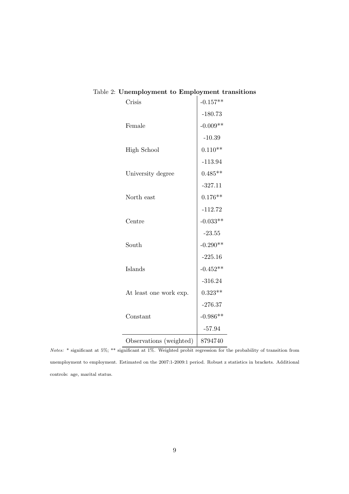| Crisis                  | $-0.157**$ |
|-------------------------|------------|
|                         | $-180.73$  |
| Female                  | $-0.009**$ |
|                         | $-10.39$   |
| <b>High School</b>      | $0.110**$  |
|                         | $-113.94$  |
| University degree       | $0.485**$  |
|                         | $-327.11$  |
| North east              | $0.176**$  |
|                         | $-112.72$  |
| Centre                  | $-0.033**$ |
|                         | $-23.55$   |
| South                   | $-0.290**$ |
|                         | $-225.16$  |
| Islands                 | $-0.452**$ |
|                         | $-316.24$  |
| At least one work exp.  | $0.323**$  |
|                         | $-276.37$  |
| Constant                | $-0.986**$ |
|                         | $-57.94$   |
| Observations (weighted) | 8794740    |
|                         |            |

## Table 2: Unemployment to Employment transitions

Notes: \* significant at 5%; \*\* significant at 1%. Weighted probit regression for the probability of transition from unemployment to employment. Estimated on the 2007:1-2009:1 period. Robust z statistics in brackets. Additional controls: age, marital status.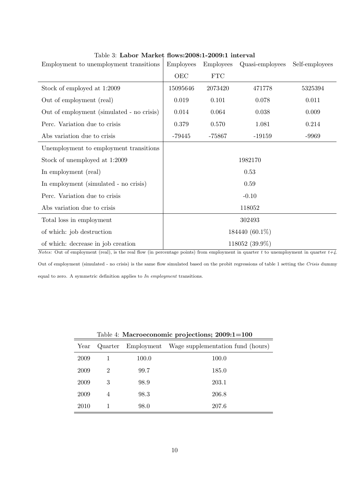| Employment to unemployment transitions    | <b>Employees</b> | <b>Employees</b>            | Quasi-employees | Self-employees |  |  |  |
|-------------------------------------------|------------------|-----------------------------|-----------------|----------------|--|--|--|
|                                           | OEC              | $\ensuremath{\mathsf{FTC}}$ |                 |                |  |  |  |
| Stock of employed at 1:2009               | 15095646         | 2073420                     | 471778          | 5325394        |  |  |  |
| Out of employment (real)                  | 0.019            | 0.101                       | 0.078           | 0.011          |  |  |  |
| Out of employment (simulated - no crisis) | 0.014            | 0.064                       | 0.038           | 0.009          |  |  |  |
| Perc. Variation due to crisis             | 0.379            | 0.570                       | 1.081           | 0.214          |  |  |  |
| Abs variation due to crisis               | $-79445$         | $-75867$                    | $-19159$        | $-9969$        |  |  |  |
| Unemployment to employment transitions    |                  |                             |                 |                |  |  |  |
| Stock of unemployed at 1:2009             |                  | 1982170                     |                 |                |  |  |  |
| In employment (real)                      |                  |                             | 0.53            |                |  |  |  |
| In employment (simulated - no crisis)     | 0.59             |                             |                 |                |  |  |  |
| Perc. Variation due to crisis             |                  |                             | $-0.10$         |                |  |  |  |
| Abs variation due to crisis               |                  |                             | 118052          |                |  |  |  |
| Total loss in employment                  |                  |                             | 302493          |                |  |  |  |
| of which: job destruction                 | 184440 (60.1%)   |                             |                 |                |  |  |  |
| of which: decrease in job creation        |                  |                             | 118052 (39.9%)  |                |  |  |  |

### Table 3: Labor Market flows:2008:1-2009:1 interval

Notes: Out of employment (real), is the real flow (in percentage points) from employment in quarter t to unemployment in quarter  $t+\sqrt{4}$ . Out of employment (simulated - no crisis) is the same flow simulated based on the probit regressions of table 1 setting the Crisis dummy equal to zero. A symmetric definition applies to In employment transitions.

| Table 4: Macroeconomic projections; 2009:1=100 |                |       |                                              |  |  |  |
|------------------------------------------------|----------------|-------|----------------------------------------------|--|--|--|
| Year                                           | Quarter        |       | Employment Wage supplementation fund (hours) |  |  |  |
| 2009                                           |                | 100.0 | 100.0                                        |  |  |  |
| 2009                                           | 2              | 99.7  | 185.0                                        |  |  |  |
| 2009                                           | 3              | 98.9  | 203.1                                        |  |  |  |
| 2009                                           | $\overline{4}$ | 98.3  | 206.8                                        |  |  |  |
| 2010                                           |                | 98.0  | 207.6                                        |  |  |  |

10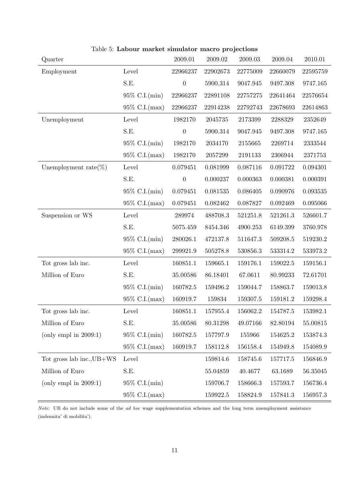| Quarter                   |                  | 2009.01          | 2009.02  | 2009.03  | 2009.04  | 2010.01  |
|---------------------------|------------------|------------------|----------|----------|----------|----------|
| Employment                | Level            | 22966237         | 22902673 | 22775009 | 22660079 | 22595759 |
|                           | S.E.             | $\boldsymbol{0}$ | 5900.314 | 9047.945 | 9497.308 | 9747.165 |
|                           | 95% C.I.(min)    | 22966237         | 22891108 | 22757275 | 22641464 | 22576654 |
|                           | 95% C.I.(max)    | 22966237         | 22914238 | 22792743 | 22678693 | 22614863 |
| Unemployment              | Level            | 1982170          | 2045735  | 2173399  | 2288329  | 2352649  |
|                           | S.E.             | $\boldsymbol{0}$ | 5900.314 | 9047.945 | 9497.308 | 9747.165 |
|                           | 95% C.I.(min)    | 1982170          | 2034170  | 2155665  | 2269714  | 2333544  |
|                           | 95% C.I.(max)    | 1982170          | 2057299  | 2191133  | 2306944  | 2371753  |
| Unemployment rate $(\%)$  | Level            | 0.079451         | 0.081999 | 0.087116 | 0.091722 | 0.094301 |
|                           | S.E.             | $\boldsymbol{0}$ | 0.000237 | 0.000363 | 0.000381 | 0.000391 |
|                           | 95\% C.I.(min)   | 0.079451         | 0.081535 | 0.086405 | 0.090976 | 0.093535 |
|                           | 95% C.I.(max)    | 0.079451         | 0.082462 | 0.087827 | 0.092469 | 0.095066 |
| Suspension or WS          | Level            | 289974           | 488708.3 | 521251.8 | 521261.3 | 526601.7 |
|                           | S.E.             | 5075.459         | 8454.346 | 4900.253 | 6149.399 | 3760.978 |
|                           | 95\% C.I.(min)   | 280026.1         | 472137.8 | 511647.3 | 509208.5 | 519230.2 |
|                           | 95% C.I.(max)    | 299921.9         | 505278.8 | 530856.3 | 533314.2 | 533973.2 |
| Tot gross lab inc.        | Level            | 160851.1         | 159665.1 | 159176.1 | 159022.5 | 159156.1 |
| Million of Euro           | S.E.             | 35.00586         | 86.18401 | 67.0611  | 80.99233 | 72.61701 |
|                           | 95\% C.I.(min)   | 160782.5         | 159496.2 | 159044.7 | 158863.7 | 159013.8 |
|                           | 95% C.I.(max)    | 160919.7         | 159834   | 159307.5 | 159181.2 | 159298.4 |
| Tot gross lab inc.        | Level            | 160851.1         | 157955.4 | 156062.2 | 154787.5 | 153982.1 |
| Million of Euro           | S.E.             | 35.00586         | 80.31298 | 49.07166 | 82.80194 | 55.00815 |
| (only empl in $2009:1$ )  | $95\%$ C.I.(min) | 160782.5         | 157797.9 | 155966   | 154625.2 | 153874.3 |
|                           | $95\%$ C.I.(max) | 160919.7         | 158112.8 | 156158.4 | 154949.8 | 154089.9 |
| Tot gross lab inc., UB+WS | Level            |                  | 159814.6 | 158745.6 | 157717.5 | 156846.9 |
| Million of Euro           | S.E.             |                  | 55.04859 | 40.4677  | 63.1689  | 56.35045 |
| (only empl in $2009:1$ )  | $95\%$ C.I.(min) |                  | 159706.7 | 158666.3 | 157593.7 | 156736.4 |
|                           | 95% C.I.(max)    |                  | 159922.5 | 158824.9 | 157841.3 | 156957.3 |

Table 5: Labour market simulator macro projections

Note: UB do not include some of the ad hoc wage supplementation schemes and the long term unemployment assistance (indennita' di mobilita').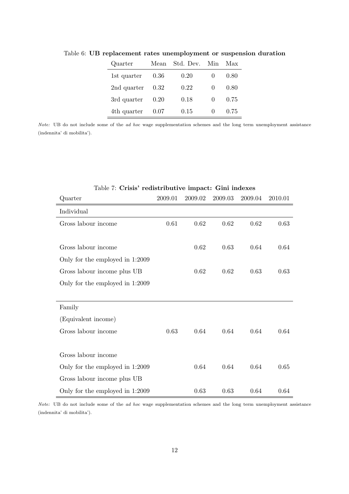| Quarter     | Mean | Std. Dev. | Min          | Max  |
|-------------|------|-----------|--------------|------|
| 1st quarter | 0.36 | 0.20      |              | 0.80 |
| 2nd quarter | 0.32 | 0.22      | $\mathbf{0}$ | 0.80 |
| 3rd quarter | 0.20 | 0.18      | $\mathbf{0}$ | 0.75 |
| 4th quarter | 0.07 | 0.15      | $\mathbf{0}$ | 0.75 |

Table 6: UB replacement rates unemployment or suspension duration

Note: UB do not include some of the ad hoc wage supplementation schemes and the long term unemployment assistance (indennita' di mobilita').

| Quarter                         | 2009.01 | 2009.02 | 2009.03 | 2009.04 | 2010.01 |
|---------------------------------|---------|---------|---------|---------|---------|
| Individual                      |         |         |         |         |         |
| Gross labour income             | 0.61    | 0.62    | 0.62    | 0.62    | 0.63    |
|                                 |         |         |         |         |         |
| Gross labour income             |         | 0.62    | 0.63    | 0.64    | 0.64    |
| Only for the employed in 1:2009 |         |         |         |         |         |
| Gross labour income plus UB     |         | 0.62    | 0.62    | 0.63    | 0.63    |
| Only for the employed in 1:2009 |         |         |         |         |         |
|                                 |         |         |         |         |         |
| Family                          |         |         |         |         |         |
| (Equivalent income)             |         |         |         |         |         |
| Gross labour income             | 0.63    | 0.64    | 0.64    | 0.64    | 0.64    |
|                                 |         |         |         |         |         |
| Gross labour income             |         |         |         |         |         |
| Only for the employed in 1:2009 |         | 0.64    | 0.64    | 0.64    | 0.65    |
| Gross labour income plus UB     |         |         |         |         |         |
| Only for the employed in 1:2009 |         | 0.63    | 0.63    | 0.64    | 0.64    |

### Table 7: Crisis' redistributive impact: Gini indexes

Note: UB do not include some of the ad hoc wage supplementation schemes and the long term unemployment assistance (indennita' di mobilita').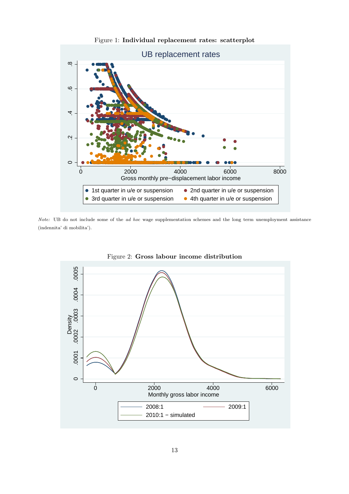

Figure 1: Individual replacement rates: scatterplot

Note: UB do not include some of the ad hoc wage supplementation schemes and the long term unemployment assistance (indennita' di mobilita').



Figure 2: Gross labour income distribution